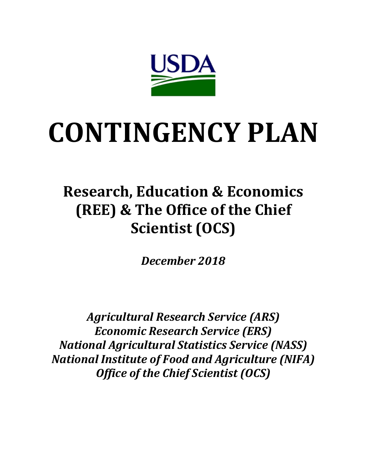

# **CONTINGENCY PLAN**

## **Research, Education & Economics (REE) & The Office of the Chief Scientist (OCS)**

*December 2018* 

*Agricultural Research Service (ARS) Economic Research Service (ERS) National Agricultural Statistics Service (NASS) National Institute of Food and Agriculture (NIFA) Office of the Chief Scientist (OCS)*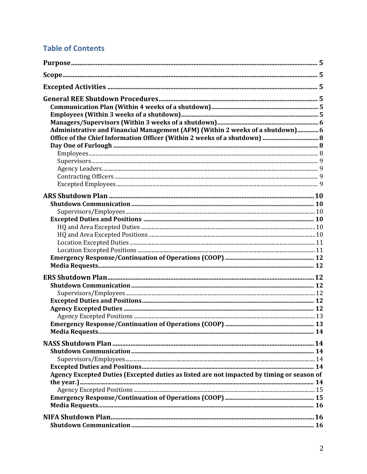## **Table of Contents**

| Administrative and Financial Management (AFM) (Within 2 weeks of a shutdown) 6            |  |
|-------------------------------------------------------------------------------------------|--|
|                                                                                           |  |
|                                                                                           |  |
|                                                                                           |  |
|                                                                                           |  |
|                                                                                           |  |
|                                                                                           |  |
|                                                                                           |  |
|                                                                                           |  |
|                                                                                           |  |
|                                                                                           |  |
|                                                                                           |  |
|                                                                                           |  |
|                                                                                           |  |
|                                                                                           |  |
|                                                                                           |  |
|                                                                                           |  |
|                                                                                           |  |
|                                                                                           |  |
|                                                                                           |  |
|                                                                                           |  |
|                                                                                           |  |
|                                                                                           |  |
|                                                                                           |  |
|                                                                                           |  |
|                                                                                           |  |
|                                                                                           |  |
|                                                                                           |  |
|                                                                                           |  |
|                                                                                           |  |
| Agency Excepted Duties (Excepted duties as listed are not impacted by timing or season of |  |
|                                                                                           |  |
|                                                                                           |  |
|                                                                                           |  |
|                                                                                           |  |
|                                                                                           |  |
|                                                                                           |  |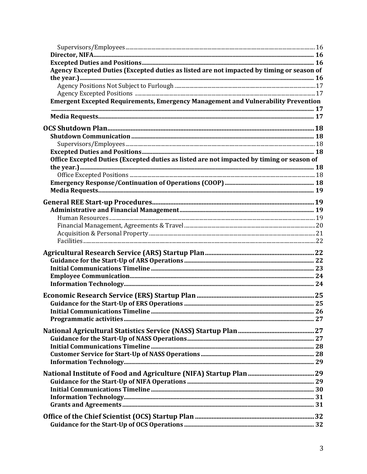| Agency Excepted Duties (Excepted duties as listed are not impacted by timing or season of |  |
|-------------------------------------------------------------------------------------------|--|
|                                                                                           |  |
|                                                                                           |  |
| <b>Emergent Excepted Requirements, Emergency Management and Vulnerability Prevention</b>  |  |
|                                                                                           |  |
|                                                                                           |  |
|                                                                                           |  |
|                                                                                           |  |
|                                                                                           |  |
|                                                                                           |  |
| Office Excepted Duties (Excepted duties as listed are not impacted by timing or season of |  |
|                                                                                           |  |
|                                                                                           |  |
|                                                                                           |  |
|                                                                                           |  |
|                                                                                           |  |
|                                                                                           |  |
|                                                                                           |  |
|                                                                                           |  |
|                                                                                           |  |
|                                                                                           |  |
|                                                                                           |  |
|                                                                                           |  |
|                                                                                           |  |
|                                                                                           |  |
|                                                                                           |  |
|                                                                                           |  |
|                                                                                           |  |
|                                                                                           |  |
|                                                                                           |  |
|                                                                                           |  |
|                                                                                           |  |
|                                                                                           |  |
|                                                                                           |  |
|                                                                                           |  |
|                                                                                           |  |
|                                                                                           |  |
|                                                                                           |  |
|                                                                                           |  |
|                                                                                           |  |
|                                                                                           |  |
|                                                                                           |  |
|                                                                                           |  |
|                                                                                           |  |
|                                                                                           |  |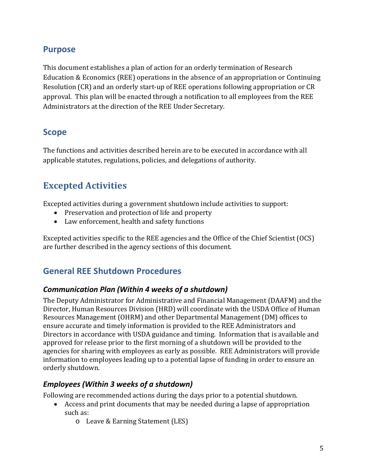## <span id="page-4-0"></span>**Purpose**

This document establishes a plan of action for an orderly termination of Research Education & Economics (REE) operations in the absence of an appropriation or Continuing Resolution (CR) and an orderly start-up of REE operations following appropriation or CR approval. This plan will be enacted through a notification to all employees from the REE Administrators at the direction of the REE Under Secretary.

## <span id="page-4-1"></span>**Scope**

The functions and activities described herein are to be executed in accordance with all applicable statutes, regulations, policies, and delegations of authority.

## <span id="page-4-2"></span>**Excepted Activities**

Excepted activities during a government shutdown include activities to support:

- Preservation and protection of life and property
- Law enforcement, health and safety functions

Excepted activities specific to the REE agencies and the Office of the Chief Scientist (OCS) are further described in the agency sections of this document.

## <span id="page-4-3"></span>**General REE Shutdown Procedures**

#### <span id="page-4-4"></span>*Communication Plan (Within 4 weeks of a shutdown)*

The Deputy Administrator for Administrative and Financial Management (DAAFM) and the Director, Human Resources Division (HRD) will coordinate with the USDA Office of Human Resources Management (OHRM) and other Departmental Management (DM) offices to ensure accurate and timely information is provided to the REE Administrators and Directors in accordance with USDA guidance and timing. Information that is available and approved for release prior to the first morning of a shutdown will be provided to the agencies for sharing with employees as early as possible. REE Administrators will provide information to employees leading up to a potential lapse of funding in order to ensure an orderly shutdown.

#### <span id="page-4-5"></span>*Employees (Within 3 weeks of a shutdown)*

Following are recommended actions during the days prior to a potential shutdown.

- Access and print documents that may be needed during a lapse of appropriation such as:
	- o Leave & Earning Statement (LES)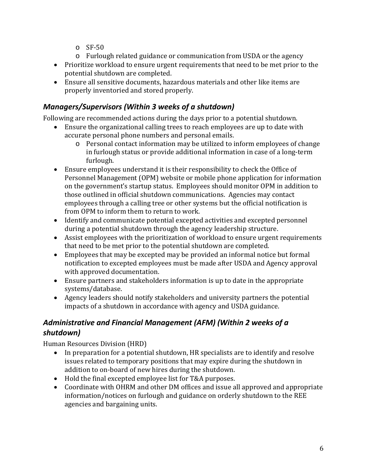- $\circ$  SF-50
- o Furlough related guidance or communication from USDA or the agency
- Prioritize workload to ensure urgent requirements that need to be met prior to the potential shutdown are completed.
- Ensure all sensitive documents, hazardous materials and other like items are properly inventoried and stored properly.

## <span id="page-5-0"></span>*Managers/Supervisors (Within 3 weeks of a shutdown)*

Following are recommended actions during the days prior to a potential shutdown.

- Ensure the organizational calling trees to reach employees are up to date with accurate personal phone numbers and personal emails.
	- o Personal contact information may be utilized to inform employees of change in furlough status or provide additional information in case of a long-term furlough.
- Ensure employees understand it is their responsibility to check the Office of Personnel Management (OPM) website or mobile phone application for information on the government's startup status. Employees should monitor OPM in addition to those outlined in official shutdown communications. Agencies may contact employees through a calling tree or other systems but the official notification is from OPM to inform them to return to work.
- Identify and communicate potential excepted activities and excepted personnel during a potential shutdown through the agency leadership structure.
- Assist employees with the prioritization of workload to ensure urgent requirements that need to be met prior to the potential shutdown are completed.
- Employees that may be excepted may be provided an informal notice but formal notification to excepted employees must be made after USDA and Agency approval with approved documentation.
- Ensure partners and stakeholders information is up to date in the appropriate systems/database.
- Agency leaders should notify stakeholders and university partners the potential impacts of a shutdown in accordance with agency and USDA guidance.

## <span id="page-5-1"></span>*Administrative and Financial Management (AFM) (Within 2 weeks of a shutdown)*

Human Resources Division (HRD)

- In preparation for a potential shutdown, HR specialists are to identify and resolve issues related to temporary positions that may expire during the shutdown in addition to on-board of new hires during the shutdown.
- Hold the final excepted employee list for T&A purposes.
- Coordinate with OHRM and other DM offices and issue all approved and appropriate information/notices on furlough and guidance on orderly shutdown to the REE agencies and bargaining units.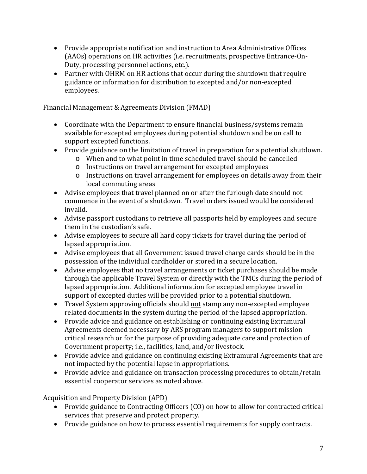- Provide appropriate notification and instruction to Area Administrative Offices (AAOs) operations on HR activities (i.e. recruitments, prospective Entrance-On-Duty, processing personnel actions, etc.).
- Partner with OHRM on HR actions that occur during the shutdown that require guidance or information for distribution to excepted and/or non-excepted employees.

Financial Management & Agreements Division (FMAD)

- Coordinate with the Department to ensure financial business/systems remain available for excepted employees during potential shutdown and be on call to support excepted functions.
- Provide guidance on the limitation of travel in preparation for a potential shutdown.
	- o When and to what point in time scheduled travel should be cancelled
	- o Instructions on travel arrangement for excepted employees
	- o Instructions on travel arrangement for employees on details away from their local commuting areas
- Advise employees that travel planned on or after the furlough date should not commence in the event of a shutdown. Travel orders issued would be considered invalid.
- Advise passport custodians to retrieve all passports held by employees and secure them in the custodian's safe.
- Advise employees to secure all hard copy tickets for travel during the period of lapsed appropriation.
- Advise employees that all Government issued travel charge cards should be in the possession of the individual cardholder or stored in a secure location.
- Advise employees that no travel arrangements or ticket purchases should be made through the applicable Travel System or directly with the TMCs during the period of lapsed appropriation. Additional information for excepted employee travel in support of excepted duties will be provided prior to a potential shutdown.
- Travel System approving officials should not stamp any non-excepted employee related documents in the system during the period of the lapsed appropriation.
- Provide advice and guidance on establishing or continuing existing Extramural Agreements deemed necessary by ARS program managers to support mission critical research or for the purpose of providing adequate care and protection of Government property; i.e., facilities, land, and/or livestock.
- Provide advice and guidance on continuing existing Extramural Agreements that are not impacted by the potential lapse in appropriations.
- Provide advice and guidance on transaction processing procedures to obtain/retain essential cooperator services as noted above.

Acquisition and Property Division (APD)

- Provide guidance to Contracting Officers (CO) on how to allow for contracted critical services that preserve and protect property.
- Provide guidance on how to process essential requirements for supply contracts.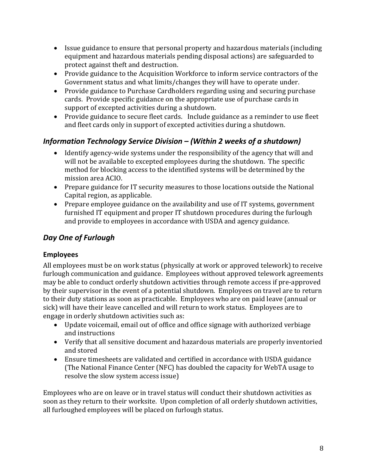- Issue guidance to ensure that personal property and hazardous materials (including equipment and hazardous materials pending disposal actions) are safeguarded to protect against theft and destruction.
- Provide guidance to the Acquisition Workforce to inform service contractors of the Government status and what limits/changes they will have to operate under.
- Provide guidance to Purchase Cardholders regarding using and securing purchase cards. Provide specific guidance on the appropriate use of purchase cards in support of excepted activities during a shutdown.
- Provide guidance to secure fleet cards. Include guidance as a reminder to use fleet and fleet cards only in support of excepted activities during a shutdown.

## <span id="page-7-0"></span>*Information Technology Service Division – (Within 2 weeks of a shutdown)*

- Identify agency-wide systems under the responsibility of the agency that will and will not be available to excepted employees during the shutdown. The specific method for blocking access to the identified systems will be determined by the mission area ACIO.
- Prepare guidance for IT security measures to those locations outside the National Capital region, as applicable.
- Prepare employee guidance on the availability and use of IT systems, government furnished IT equipment and proper IT shutdown procedures during the furlough and provide to employees in accordance with USDA and agency guidance.

## <span id="page-7-1"></span>*Day One of Furlough*

#### <span id="page-7-2"></span>**Employees**

All employees must be on work status (physically at work or approved telework) to receive furlough communication and guidance. Employees without approved telework agreements may be able to conduct orderly shutdown activities through remote access if pre-approved by their supervisor in the event of a potential shutdown. Employees on travel are to return to their duty stations as soon as practicable. Employees who are on paid leave (annual or sick) will have their leave cancelled and will return to work status. Employees are to engage in orderly shutdown activities such as:

- Update voicemail, email out of office and office signage with authorized verbiage and instructions
- Verify that all sensitive document and hazardous materials are properly inventoried and stored
- Ensure timesheets are validated and certified in accordance with USDA guidance (The National Finance Center (NFC) has doubled the capacity for WebTA usage to resolve the slow system access issue)

Employees who are on leave or in travel status will conduct their shutdown activities as soon as they return to their worksite. Upon completion of all orderly shutdown activities, all furloughed employees will be placed on furlough status.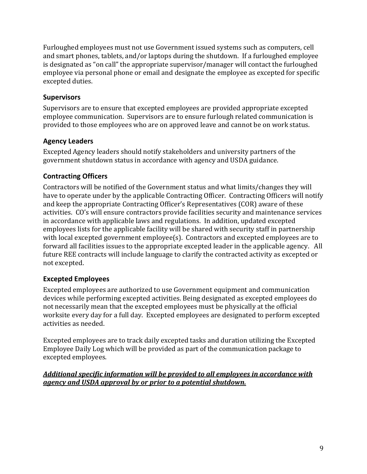Furloughed employees must not use Government issued systems such as computers, cell and smart phones, tablets, and/or laptops during the shutdown. If a furloughed employee is designated as "on call" the appropriate supervisor/manager will contact the furloughed employee via personal phone or email and designate the employee as excepted for specific excepted duties.

#### <span id="page-8-0"></span>**Supervisors**

Supervisors are to ensure that excepted employees are provided appropriate excepted employee communication. Supervisors are to ensure furlough related communication is provided to those employees who are on approved leave and cannot be on work status.

#### <span id="page-8-1"></span>**Agency Leaders**

Excepted Agency leaders should notify stakeholders and university partners of the government shutdown status in accordance with agency and USDA guidance.

#### <span id="page-8-2"></span>**Contracting Officers**

Contractors will be notified of the Government status and what limits/changes they will have to operate under by the applicable Contracting Officer. Contracting Officers will notify and keep the appropriate Contracting Officer's Representatives (COR) aware of these activities. CO's will ensure contractors provide facilities security and maintenance services in accordance with applicable laws and regulations. In addition, updated excepted employees lists for the applicable facility will be shared with security staff in partnership with local excepted government employee(s). Contractors and excepted employees are to forward all facilities issues to the appropriate excepted leader in the applicable agency. All future REE contracts will include language to clarify the contracted activity as excepted or not excepted.

#### <span id="page-8-3"></span>**Excepted Employees**

Excepted employees are authorized to use Government equipment and communication devices while performing excepted activities. Being designated as excepted employees do not necessarily mean that the excepted employees must be physically at the official worksite every day for a full day. Excepted employees are designated to perform excepted activities as needed.

Excepted employees are to track daily excepted tasks and duration utilizing the Excepted Employee Daily Log which will be provided as part of the communication package to excepted employees.

*Additional specific information will be provided to all employees in accordance with agency and USDA approval by or prior to a potential shutdown.*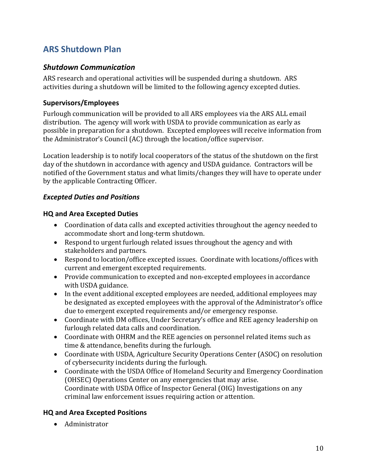## <span id="page-9-0"></span>**ARS Shutdown Plan**

#### <span id="page-9-1"></span>*Shutdown Communication*

ARS research and operational activities will be suspended during a shutdown. ARS activities during a shutdown will be limited to the following agency excepted duties.

#### <span id="page-9-2"></span>**Supervisors/Employees**

Furlough communication will be provided to all ARS employees via the ARS ALL email distribution. The agency will work with USDA to provide communication as early as possible in preparation for a shutdown. Excepted employees will receive information from the Administrator's Council (AC) through the location/office supervisor.

Location leadership is to notify local cooperators of the status of the shutdown on the first day of the shutdown in accordance with agency and USDA guidance. Contractors will be notified of the Government status and what limits/changes they will have to operate under by the applicable Contracting Officer.

#### <span id="page-9-3"></span>*Excepted Duties and Positions*

#### <span id="page-9-4"></span>**HQ and Area Excepted Duties**

- Coordination of data calls and excepted activities throughout the agency needed to accommodate short and long-term shutdown.
- Respond to urgent furlough related issues throughout the agency and with stakeholders and partners.
- Respond to location/office excepted issues. Coordinate with locations/offices with current and emergent excepted requirements.
- Provide communication to excepted and non-excepted employees in accordance with USDA guidance.
- In the event additional excepted employees are needed, additional employees may be designated as excepted employees with the approval of the Administrator's office due to emergent excepted requirements and/or emergency response.
- Coordinate with DM offices, Under Secretary's office and REE agency leadership on furlough related data calls and coordination.
- Coordinate with OHRM and the REE agencies on personnel related items such as time & attendance, benefits during the furlough.
- Coordinate with USDA, Agriculture Security Operations Center (ASOC) on resolution of cybersecurity incidents during the furlough.
- Coordinate with the USDA Office of Homeland Security and Emergency Coordination (OHSEC) Operations Center on any emergencies that may arise. Coordinate with USDA Office of Inspector General (OIG) Investigations on any criminal law enforcement issues requiring action or attention.

#### <span id="page-9-5"></span>**HQ and Area Excepted Positions**

• Administrator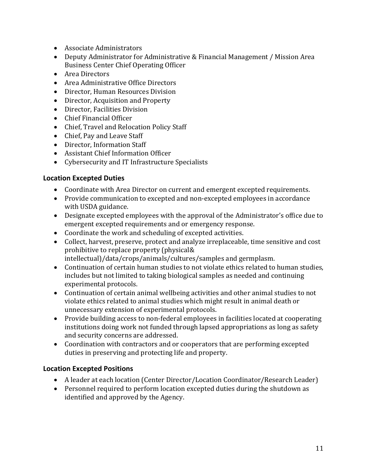- Associate Administrators
- Deputy Administrator for Administrative & Financial Management / Mission Area Business Center Chief Operating Officer
- Area Directors
- Area Administrative Office Directors
- Director, Human Resources Division
- Director, Acquisition and Property
- Director, Facilities Division
- Chief Financial Officer
- Chief, Travel and Relocation Policy Staff
- Chief, Pay and Leave Staff
- Director, Information Staff
- Assistant Chief Information Officer
- Cybersecurity and IT Infrastructure Specialists

#### <span id="page-10-0"></span>**Location Excepted Duties**

- Coordinate with Area Director on current and emergent excepted requirements.
- Provide communication to excepted and non-excepted employees in accordance with USDA guidance.
- Designate excepted employees with the approval of the Administrator's office due to emergent excepted requirements and or emergency response.
- Coordinate the work and scheduling of excepted activities.
- Collect, harvest, preserve, protect and analyze irreplaceable, time sensitive and cost prohibitive to replace property (physical& intellectual)/data/crops/animals/cultures/samples and germplasm.
- Continuation of certain human studies to not violate ethics related to human studies, includes but not limited to taking biological samples as needed and continuing experimental protocols.
- Continuation of certain animal wellbeing activities and other animal studies to not violate ethics related to animal studies which might result in animal death or unnecessary extension of experimental protocols.
- Provide building access to non-federal employees in facilities located at cooperating institutions doing work not funded through lapsed appropriations as long as safety and security concerns are addressed.
- Coordination with contractors and or cooperators that are performing excepted duties in preserving and protecting life and property.

#### <span id="page-10-1"></span>**Location Excepted Positions**

- A leader at each location (Center Director/Location Coordinator/Research Leader)
- Personnel required to perform location excepted duties during the shutdown as identified and approved by the Agency.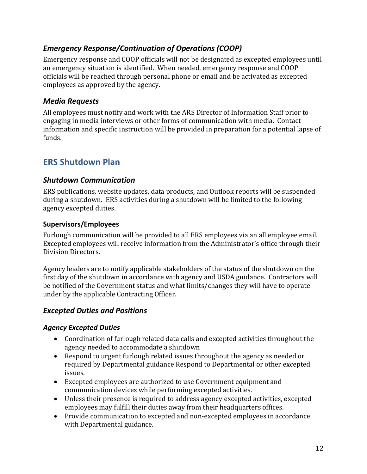## <span id="page-11-0"></span>*Emergency Response/Continuation of Operations (COOP)*

Emergency response and COOP officials will not be designated as excepted employees until an emergency situation is identified. When needed, emergency response and COOP officials will be reached through personal phone or email and be activated as excepted employees as approved by the agency.

#### <span id="page-11-1"></span>*Media Requests*

All employees must notify and work with the ARS Director of Information Staff prior to engaging in media interviews or other forms of communication with media. Contact information and specific instruction will be provided in preparation for a potential lapse of funds.

## <span id="page-11-2"></span>**ERS Shutdown Plan**

#### <span id="page-11-3"></span>*Shutdown Communication*

ERS publications, website updates, data products, and Outlook reports will be suspended during a shutdown. ERS activities during a shutdown will be limited to the following agency excepted duties.

#### <span id="page-11-4"></span>**Supervisors/Employees**

Furlough communication will be provided to all ERS employees via an all employee email. Excepted employees will receive information from the Administrator's office through their Division Directors.

Agency leaders are to notify applicable stakeholders of the status of the shutdown on the first day of the shutdown in accordance with agency and USDA guidance. Contractors will be notified of the Government status and what limits/changes they will have to operate under by the applicable Contracting Officer.

#### <span id="page-11-5"></span>*Excepted Duties and Positions*

#### <span id="page-11-6"></span>*Agency Excepted Duties*

- Coordination of furlough related data calls and excepted activities throughout the agency needed to accommodate a shutdown
- Respond to urgent furlough related issues throughout the agency as needed or required by Departmental guidance Respond to Departmental or other excepted issues.
- Excepted employees are authorized to use Government equipment and communication devices while performing excepted activities.
- Unless their presence is required to address agency excepted activities, excepted employees may fulfill their duties away from their headquarters offices.
- Provide communication to excepted and non-excepted employees in accordance with Departmental guidance.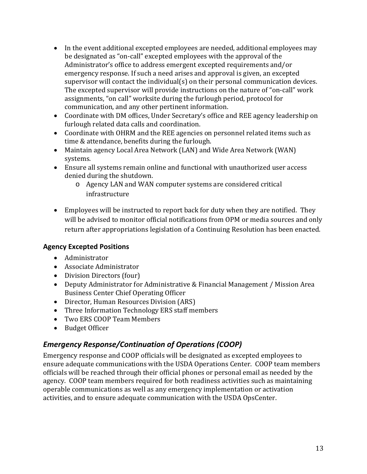- In the event additional excepted employees are needed, additional employees may be designated as "on-call" excepted employees with the approval of the Administrator's office to address emergent excepted requirements and/or emergency response. If such a need arises and approval is given, an excepted supervisor will contact the individual(s) on their personal communication devices. The excepted supervisor will provide instructions on the nature of "on-call" work assignments, "on call" worksite during the furlough period, protocol for communication, and any other pertinent information.
- Coordinate with DM offices, Under Secretary's office and REE agency leadership on furlough related data calls and coordination.
- Coordinate with OHRM and the REE agencies on personnel related items such as time & attendance, benefits during the furlough.
- Maintain agency Local Area Network (LAN) and Wide Area Network (WAN) systems.
- Ensure all systems remain online and functional with unauthorized user access denied during the shutdown.
	- o Agency LAN and WAN computer systems are considered critical infrastructure
- Employees will be instructed to report back for duty when they are notified. They will be advised to monitor official notifications from OPM or media sources and only return after appropriations legislation of a Continuing Resolution has been enacted.

#### <span id="page-12-0"></span>**Agency Excepted Positions**

- Administrator
- Associate Administrator
- Division Directors (four)
- Deputy Administrator for Administrative & Financial Management / Mission Area Business Center Chief Operating Officer
- Director, Human Resources Division (ARS)
- Three Information Technology ERS staff members
- Two ERS COOP Team Members
- Budget Officer

## <span id="page-12-1"></span>*Emergency Response/Continuation of Operations (COOP)*

Emergency response and COOP officials will be designated as excepted employees to ensure adequate communications with the USDA Operations Center. COOP team members officials will be reached through their official phones or personal email as needed by the agency. COOP team members required for both readiness activities such as maintaining operable communications as well as any emergency implementation or activation activities, and to ensure adequate communication with the USDA OpsCenter.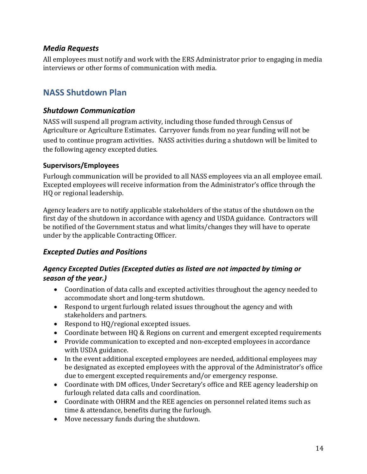#### <span id="page-13-0"></span>*Media Requests*

<span id="page-13-1"></span>All employees must notify and work with the ERS Administrator prior to engaging in media interviews or other forms of communication with media.

## **NASS Shutdown Plan**

#### <span id="page-13-2"></span>*Shutdown Communication*

NASS will suspend all program activity, including those funded through Census of Agriculture or Agriculture Estimates. Carryover funds from no year funding will not be used to continue program activities. NASS activities during a shutdown will be limited to the following agency excepted duties.

#### <span id="page-13-3"></span>**Supervisors/Employees**

Furlough communication will be provided to all NASS employees via an all employee email. Excepted employees will receive information from the Administrator's office through the HQ or regional leadership.

Agency leaders are to notify applicable stakeholders of the status of the shutdown on the first day of the shutdown in accordance with agency and USDA guidance. Contractors will be notified of the Government status and what limits/changes they will have to operate under by the applicable Contracting Officer.

#### <span id="page-13-4"></span>*Excepted Duties and Positions*

#### <span id="page-13-5"></span>*Agency Excepted Duties (Excepted duties as listed are not impacted by timing or season of the year.)*

- Coordination of data calls and excepted activities throughout the agency needed to accommodate short and long-term shutdown.
- Respond to urgent furlough related issues throughout the agency and with stakeholders and partners.
- Respond to HQ/regional excepted issues.
- Coordinate between HQ & Regions on current and emergent excepted requirements
- Provide communication to excepted and non-excepted employees in accordance with USDA guidance.
- In the event additional excepted employees are needed, additional employees may be designated as excepted employees with the approval of the Administrator's office due to emergent excepted requirements and/or emergency response.
- Coordinate with DM offices, Under Secretary's office and REE agency leadership on furlough related data calls and coordination.
- Coordinate with OHRM and the REE agencies on personnel related items such as time & attendance, benefits during the furlough.
- Move necessary funds during the shutdown.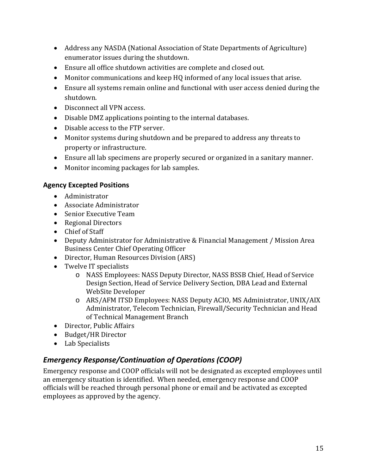- Address any NASDA (National Association of State Departments of Agriculture) enumerator issues during the shutdown.
- Ensure all office shutdown activities are complete and closed out.
- Monitor communications and keep HQ informed of any local issues that arise.
- Ensure all systems remain online and functional with user access denied during the shutdown.
- Disconnect all VPN access.
- Disable DMZ applications pointing to the internal databases.
- Disable access to the FTP server.
- Monitor systems during shutdown and be prepared to address any threats to property or infrastructure.
- Ensure all lab specimens are properly secured or organized in a sanitary manner.
- Monitor incoming packages for lab samples.

#### <span id="page-14-0"></span>**Agency Excepted Positions**

- Administrator
- Associate Administrator
- Senior Executive Team
- Regional Directors
- Chief of Staff
- Deputy Administrator for Administrative & Financial Management / Mission Area Business Center Chief Operating Officer
- Director, Human Resources Division (ARS)
- Twelve IT specialists
	- o NASS Employees: NASS Deputy Director, NASS BSSB Chief, Head of Service Design Section, Head of Service Delivery Section, DBA Lead and External WebSite Developer
	- o ARS/AFM ITSD Employees: NASS Deputy ACIO, MS Administrator, UNIX/AIX Administrator, Telecom Technician, Firewall/Security Technician and Head of Technical Management Branch
- Director, Public Affairs
- Budget/HR Director
- Lab Specialists

## <span id="page-14-1"></span>*Emergency Response/Continuation of Operations (COOP)*

Emergency response and COOP officials will not be designated as excepted employees until an emergency situation is identified. When needed, emergency response and COOP officials will be reached through personal phone or email and be activated as excepted employees as approved by the agency.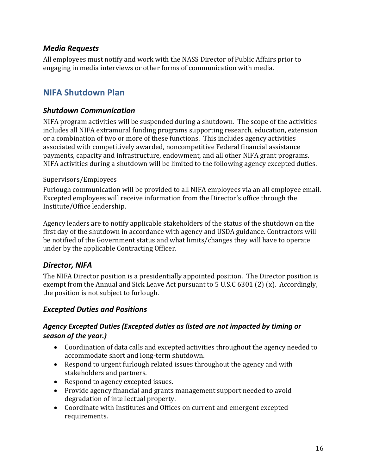#### <span id="page-15-0"></span>*Media Requests*

<span id="page-15-1"></span>All employees must notify and work with the NASS Director of Public Affairs prior to engaging in media interviews or other forms of communication with media.

## **NIFA Shutdown Plan**

#### <span id="page-15-2"></span>*Shutdown Communication*

NIFA program activities will be suspended during a shutdown. The scope of the activities includes all NIFA extramural funding programs supporting research, education, extension or a combination of two or more of these functions. This includes agency activities associated with competitively awarded, noncompetitive Federal financial assistance payments, capacity and infrastructure, endowment, and all other NIFA grant programs. NIFA activities during a shutdown will be limited to the following agency excepted duties.

#### <span id="page-15-3"></span>Supervisors/Employees

Furlough communication will be provided to all NIFA employees via an all employee email. Excepted employees will receive information from the Director's office through the Institute/Office leadership.

Agency leaders are to notify applicable stakeholders of the status of the shutdown on the first day of the shutdown in accordance with agency and USDA guidance. Contractors will be notified of the Government status and what limits/changes they will have to operate under by the applicable Contracting Officer.

#### <span id="page-15-4"></span>*Director, NIFA*

The NIFA Director position is a presidentially appointed position. The Director position is exempt from the Annual and Sick Leave Act pursuant to 5 U.S.C 6301 (2) (x). Accordingly, the position is not subject to furlough.

#### <span id="page-15-5"></span>*Excepted Duties and Positions*

#### <span id="page-15-6"></span>*Agency Excepted Duties (Excepted duties as listed are not impacted by timing or season of the year.)*

- Coordination of data calls and excepted activities throughout the agency needed to accommodate short and long-term shutdown.
- Respond to urgent furlough related issues throughout the agency and with stakeholders and partners.
- Respond to agency excepted issues.
- Provide agency financial and grants management support needed to avoid degradation of intellectual property.
- Coordinate with Institutes and Offices on current and emergent excepted requirements.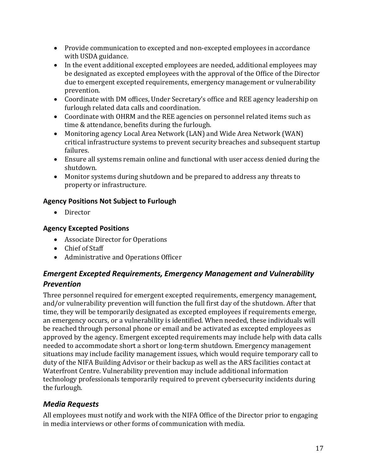- Provide communication to excepted and non-excepted employees in accordance with USDA guidance.
- In the event additional excepted employees are needed, additional employees may be designated as excepted employees with the approval of the Office of the Director due to emergent excepted requirements, emergency management or vulnerability prevention.
- Coordinate with DM offices, Under Secretary's office and REE agency leadership on furlough related data calls and coordination.
- Coordinate with OHRM and the REE agencies on personnel related items such as time & attendance, benefits during the furlough.
- Monitoring agency Local Area Network (LAN) and Wide Area Network (WAN) critical infrastructure systems to prevent security breaches and subsequent startup failures.
- Ensure all systems remain online and functional with user access denied during the shutdown.
- Monitor systems during shutdown and be prepared to address any threats to property or infrastructure.

#### <span id="page-16-0"></span>**Agency Positions Not Subject to Furlough**

• Director

#### <span id="page-16-1"></span>**Agency Excepted Positions**

- Associate Director for Operations
- Chief of Staff
- Administrative and Operations Officer

## <span id="page-16-2"></span>*Emergent Excepted Requirements, Emergency Management and Vulnerability Prevention*

Three personnel required for emergent excepted requirements, emergency management, and/or vulnerability prevention will function the full first day of the shutdown. After that time, they will be temporarily designated as excepted employees if requirements emerge, an emergency occurs, or a vulnerability is identified. When needed, these individuals will be reached through personal phone or email and be activated as excepted employees as approved by the agency. Emergent excepted requirements may include help with data calls needed to accommodate short a short or long-term shutdown. Emergency management situations may include facility management issues, which would require temporary call to duty of the NIFA Building Advisor or their backup as well as the ARS facilities contact at Waterfront Centre. Vulnerability prevention may include additional information technology professionals temporarily required to prevent cybersecurity incidents during the furlough.

## <span id="page-16-3"></span>*Media Requests*

All employees must notify and work with the NIFA Office of the Director prior to engaging in media interviews or other forms of communication with media.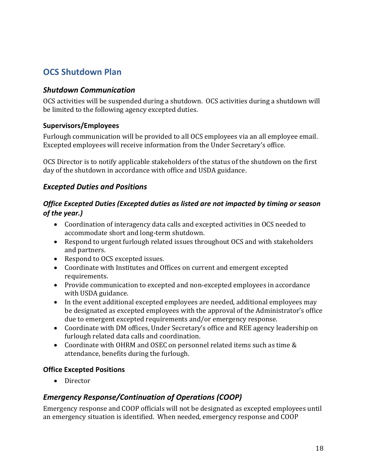## <span id="page-17-0"></span>**OCS Shutdown Plan**

#### <span id="page-17-1"></span>*Shutdown Communication*

OCS activities will be suspended during a shutdown. OCS activities during a shutdown will be limited to the following agency excepted duties.

#### <span id="page-17-2"></span>**Supervisors/Employees**

Furlough communication will be provided to all OCS employees via an all employee email. Excepted employees will receive information from the Under Secretary's office.

OCS Director is to notify applicable stakeholders of the status of the shutdown on the first day of the shutdown in accordance with office and USDA guidance.

#### <span id="page-17-3"></span>*Excepted Duties and Positions*

#### <span id="page-17-4"></span>*Office Excepted Duties (Excepted duties as listed are not impacted by timing or season of the year.)*

- Coordination of interagency data calls and excepted activities in OCS needed to accommodate short and long-term shutdown.
- Respond to urgent furlough related issues throughout OCS and with stakeholders and partners.
- Respond to OCS excepted issues.
- Coordinate with Institutes and Offices on current and emergent excepted requirements.
- Provide communication to excepted and non-excepted employees in accordance with USDA guidance.
- In the event additional excepted employees are needed, additional employees may be designated as excepted employees with the approval of the Administrator's office due to emergent excepted requirements and/or emergency response.
- Coordinate with DM offices, Under Secretary's office and REE agency leadership on furlough related data calls and coordination.
- Coordinate with OHRM and OSEC on personnel related items such as time & attendance, benefits during the furlough.

#### <span id="page-17-5"></span>**Office Excepted Positions**

• Director

#### <span id="page-17-6"></span>*Emergency Response/Continuation of Operations (COOP)*

Emergency response and COOP officials will not be designated as excepted employees until an emergency situation is identified. When needed, emergency response and COOP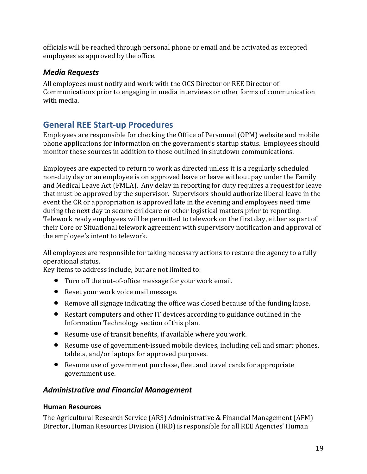officials will be reached through personal phone or email and be activated as excepted employees as approved by the office.

#### <span id="page-18-0"></span>*Media Requests*

All employees must notify and work with the OCS Director or REE Director of Communications prior to engaging in media interviews or other forms of communication with media.

## <span id="page-18-1"></span>**General REE Start-up Procedures**

Employees are responsible for checking the Office of Personnel (OPM) website and mobile phone applications for information on the government's startup status. Employees should monitor these sources in addition to those outlined in shutdown communications.

Employees are expected to return to work as directed unless it is a regularly scheduled non-duty day or an employee is on approved leave or leave without pay under the Family and Medical Leave Act (FMLA). Any delay in reporting for duty requires a request for leave that must be approved by the supervisor. Supervisors should authorize liberal leave in the event the CR or appropriation is approved late in the evening and employees need time during the next day to secure childcare or other logistical matters prior to reporting. Telework ready employees will be permitted to telework on the first day, either as part of their Core or Situational telework agreement with supervisory notification and approval of the employee's intent to telework.

All employees are responsible for taking necessary actions to restore the agency to a fully operational status.

Key items to address include, but are not limited to:

- Turn off the out-of-office message for your work email.
- Reset your work voice mail message.
- Remove all signage indicating the office was closed because of the funding lapse.
- Restart computers and other IT devices according to guidance outlined in the Information Technology section of this plan.
- Resume use of transit benefits, if available where you work.
- Resume use of government-issued mobile devices, including cell and smart phones, tablets, and/or laptops for approved purposes.
- Resume use of government purchase, fleet and travel cards for appropriate government use.

## <span id="page-18-2"></span>*Administrative and Financial Management*

#### <span id="page-18-3"></span>**Human Resources**

The Agricultural Research Service (ARS) Administrative & Financial Management (AFM) Director, Human Resources Division (HRD) is responsible for all REE Agencies' Human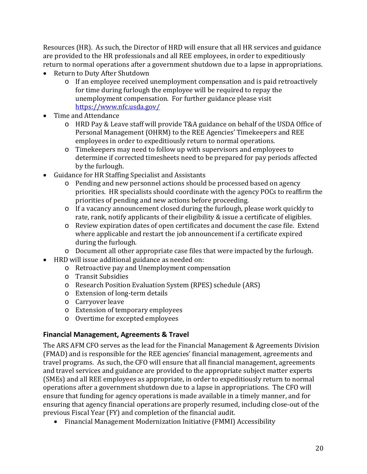Resources (HR). As such, the Director of HRD will ensure that all HR services and guidance are provided to the HR professionals and all REE employees, in order to expeditiously return to normal operations after a government shutdown due to a lapse in appropriations.

- Return to Duty After Shutdown
	- o If an employee received unemployment compensation and is paid retroactively for time during furlough the employee will be required to repay the unemployment compensation. For further guidance please visit <https://www.nfc.usda.gov/>
- Time and Attendance
	- o HRD Pay & Leave staff will provide T&A guidance on behalf of the USDA Office of Personal Management (OHRM) to the REE Agencies' Timekeepers and REE employees in order to expeditiously return to normal operations.
	- o Timekeepers may need to follow up with supervisors and employees to determine if corrected timesheets need to be prepared for pay periods affected by the furlough.
- Guidance for HR Staffing Specialist and Assistants
	- o Pending and new personnel actions should be processed based on agency priorities. HR specialists should coordinate with the agency POCs to reaffirm the priorities of pending and new actions before proceeding.
	- o If a vacancy announcement closed during the furlough, please work quickly to rate, rank, notify applicants of their eligibility & issue a certificate of eligibles.
	- o Review expiration dates of open certificates and document the case file. Extend where applicable and restart the job announcement if a certificate expired during the furlough.
	- o Document all other appropriate case files that were impacted by the furlough.
- HRD will issue additional guidance as needed on:
	- o Retroactive pay and Unemployment compensation
	- o Transit Subsidies
	- o Research Position Evaluation System (RPES) schedule (ARS)
	- o Extension of long-term details
	- o Carryover leave
	- o Extension of temporary employees
	- o Overtime for excepted employees

#### <span id="page-19-0"></span>**Financial Management, Agreements & Travel**

The ARS AFM CFO serves as the lead for the Financial Management & Agreements Division (FMAD) and is responsible for the REE agencies' financial management, agreements and travel programs. As such, the CFO will ensure that all financial management, agreements and travel services and guidance are provided to the appropriate subject matter experts (SMEs) and all REE employees as appropriate, in order to expeditiously return to normal operations after a government shutdown due to a lapse in appropriations. The CFO will ensure that funding for agency operations is made available in a timely manner, and for ensuring that agency financial operations are properly resumed, including close-out of the previous Fiscal Year (FY) and completion of the financial audit.

• Financial Management Modernization Initiative (FMMI) Accessibility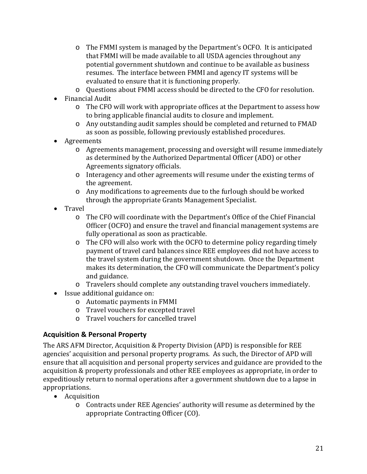- o The FMMI system is managed by the Department's OCFO. It is anticipated that FMMI will be made available to all USDA agencies throughout any potential government shutdown and continue to be available as business resumes. The interface between FMMI and agency IT systems will be evaluated to ensure that it is functioning properly.
- o Questions about FMMI access should be directed to the CFO for resolution.
- Financial Audit
	- o The CFO will work with appropriate offices at the Department to assess how to bring applicable financial audits to closure and implement.
	- o Any outstanding audit samples should be completed and returned to FMAD as soon as possible, following previously established procedures.
- Agreements
	- o Agreements management, processing and oversight will resume immediately as determined by the Authorized Departmental Officer (ADO) or other Agreements signatory officials.
	- o Interagency and other agreements will resume under the existing terms of the agreement.
	- o Any modifications to agreements due to the furlough should be worked through the appropriate Grants Management Specialist.
- Travel
	- o The CFO will coordinate with the Department's Office of the Chief Financial Officer (OCFO) and ensure the travel and financial management systems are fully operational as soon as practicable.
	- o The CFO will also work with the OCFO to determine policy regarding timely payment of travel card balances since REE employees did not have access to the travel system during the government shutdown. Once the Department makes its determination, the CFO will communicate the Department's policy and guidance.
	- o Travelers should complete any outstanding travel vouchers immediately.
- Issue additional guidance on:
	- o Automatic payments in FMMI
	- o Travel vouchers for excepted travel
	- o Travel vouchers for cancelled travel

#### <span id="page-20-0"></span>**Acquisition & Personal Property**

The ARS AFM Director, Acquisition & Property Division (APD) is responsible for REE agencies' acquisition and personal property programs. As such, the Director of APD will ensure that all acquisition and personal property services and guidance are provided to the acquisition & property professionals and other REE employees as appropriate, in order to expeditiously return to normal operations after a government shutdown due to a lapse in appropriations.

- Acquisition
	- o Contracts under REE Agencies' authority will resume as determined by the appropriate Contracting Officer (CO).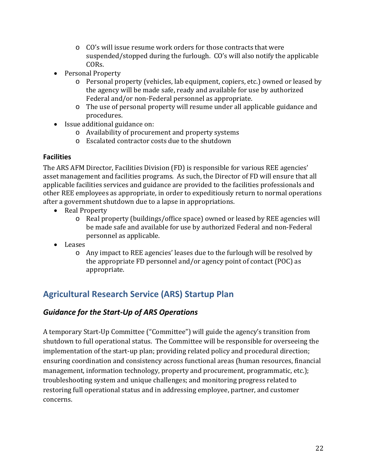- o CO's will issue resume work orders for those contracts that were suspended/stopped during the furlough. CO's will also notify the applicable CORs.
- Personal Property
	- o Personal property (vehicles, lab equipment, copiers, etc.) owned or leased by the agency will be made safe, ready and available for use by authorized Federal and/or non-Federal personnel as appropriate.
	- o The use of personal property will resume under all applicable guidance and procedures.
- Issue additional guidance on:
	- o Availability of procurement and property systems
	- o Escalated contractor costs due to the shutdown

#### <span id="page-21-0"></span>**Facilities**

The ARS AFM Director, Facilities Division (FD) is responsible for various REE agencies' asset management and facilities programs. As such, the Director of FD will ensure that all applicable facilities services and guidance are provided to the facilities professionals and other REE employees as appropriate, in order to expeditiously return to normal operations after a government shutdown due to a lapse in appropriations.

- Real Property
	- o Real property (buildings/office space) owned or leased by REE agencies will be made safe and available for use by authorized Federal and non-Federal personnel as applicable.
- Leases
	- o Any impact to REE agencies' leases due to the furlough will be resolved by the appropriate FD personnel and/or agency point of contact (POC) as appropriate.

## <span id="page-21-1"></span>**Agricultural Research Service (ARS) Startup Plan**

#### <span id="page-21-2"></span>*Guidance for the Start-Up of ARS Operations*

A temporary Start-Up Committee ("Committee") will guide the agency's transition from shutdown to full operational status. The Committee will be responsible for overseeing the implementation of the start-up plan; providing related policy and procedural direction; ensuring coordination and consistency across functional areas (human resources, financial management, information technology, property and procurement, programmatic, etc.); troubleshooting system and unique challenges; and monitoring progress related to restoring full operational status and in addressing employee, partner, and customer concerns.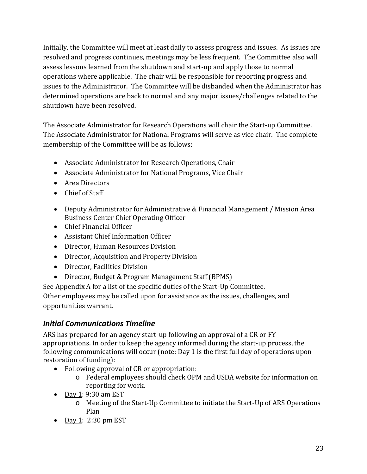Initially, the Committee will meet at least daily to assess progress and issues. As issues are resolved and progress continues, meetings may be less frequent. The Committee also will assess lessons learned from the shutdown and start-up and apply those to normal operations where applicable. The chair will be responsible for reporting progress and issues to the Administrator. The Committee will be disbanded when the Administrator has determined operations are back to normal and any major issues/challenges related to the shutdown have been resolved.

The Associate Administrator for Research Operations will chair the Start-up Committee. The Associate Administrator for National Programs will serve as vice chair. The complete membership of the Committee will be as follows:

- Associate Administrator for Research Operations, Chair
- Associate Administrator for National Programs, Vice Chair
- Area Directors
- Chief of Staff
- Deputy Administrator for Administrative & Financial Management / Mission Area Business Center Chief Operating Officer
- Chief Financial Officer
- Assistant Chief Information Officer
- Director, Human Resources Division
- Director, Acquisition and Property Division
- Director, Facilities Division
- Director, Budget & Program Management Staff (BPMS)

See Appendix A for a list of the specific duties of the Start-Up Committee. Other employees may be called upon for assistance as the issues, challenges, and opportunities warrant.

#### <span id="page-22-0"></span>*Initial Communications Timeline*

ARS has prepared for an agency start-up following an approval of a CR or FY appropriations. In order to keep the agency informed during the start-up process, the following communications will occur (note: Day 1 is the first full day of operations upon restoration of funding):

- Following approval of CR or appropriation:
	- o Federal employees should check OPM and USDA website for information on reporting for work.
- Day 1: 9:30 am EST
	- o Meeting of the Start-Up Committee to initiate the Start-Up of ARS Operations Plan
- Day 1: 2:30 pm EST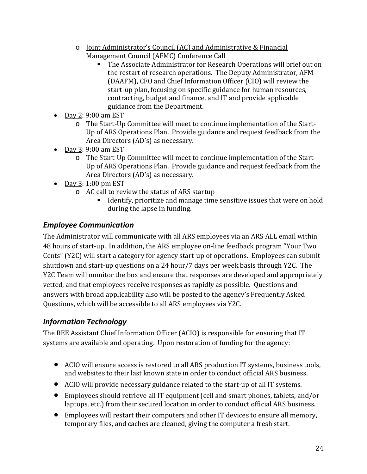- o Joint Administrator's Council (AC) and Administrative & Financial Management Council (AFMC) Conference Call
	- The Associate Administrator for Research Operations will brief out on the restart of research operations. The Deputy Administrator, AFM (DAAFM), CFO and Chief Information Officer (CIO) will review the start-up plan, focusing on specific guidance for human resources, contracting, budget and finance, and IT and provide applicable guidance from the Department.
- Day 2: 9:00 am EST
	- o The Start-Up Committee will meet to continue implementation of the Start-Up of ARS Operations Plan. Provide guidance and request feedback from the Area Directors (AD's) as necessary.
- Day 3: 9:00 am EST
	- o The Start-Up Committee will meet to continue implementation of the Start-Up of ARS Operations Plan. Provide guidance and request feedback from the Area Directors (AD's) as necessary.
- Day 3: 1:00 pm EST
	- o AC call to review the status of ARS startup<br>Identify, prioritize and manage time
		- Identify, prioritize and manage time sensitive issues that were on hold during the lapse in funding.

## <span id="page-23-0"></span>*Employee Communication*

The Administrator will communicate with all ARS employees via an ARS ALL email within 48 hours of start-up. In addition, the ARS employee on-line feedback program "Your Two Cents" (Y2C) will start a category for agency start-up of operations. Employees can submit shutdown and start-up questions on a 24 hour/7 days per week basis through Y2C. The Y2C Team will monitor the box and ensure that responses are developed and appropriately vetted, and that employees receive responses as rapidly as possible. Questions and answers with broad applicability also will be posted to the agency's Frequently Asked Questions, which will be accessible to all ARS employees via Y2C.

## <span id="page-23-1"></span>*Information Technology*

The REE Assistant Chief Information Officer (ACIO) is responsible for ensuring that IT systems are available and operating. Upon restoration of funding for the agency:

- ACIO will ensure access is restored to all ARS production IT systems, business tools, and websites to their last known state in order to conduct official ARS business.
- ACIO will provide necessary guidance related to the start-up of all IT systems.
- Employees should retrieve all IT equipment (cell and smart phones, tablets, and/or laptops, etc.) from their secured location in order to conduct official ARS business.
- Employees will restart their computers and other IT devices to ensure all memory, temporary files, and caches are cleaned, giving the computer a fresh start.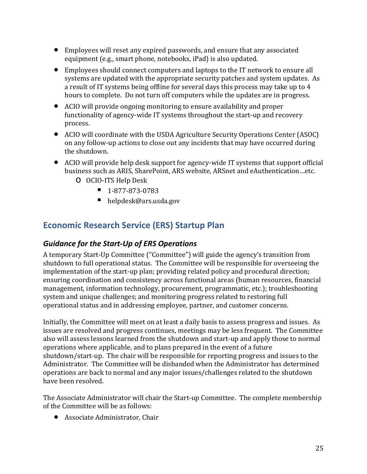- Employees will reset any expired passwords, and ensure that any associated equipment (e.g., smart phone, notebooks, iPad) is also updated.
- Employees should connect computers and laptops to the IT network to ensure all systems are updated with the appropriate security patches and system updates. As a result of IT systems being offline for several days this process may take up to 4 hours to complete. Do not turn off computers while the updates are in progress.
- ACIO will provide ongoing monitoring to ensure availability and proper functionality of agency-wide IT systems throughout the start-up and recovery process.
- ACIO will coordinate with the USDA Agriculture Security Operations Center (ASOC) on any follow-up actions to close out any incidents that may have occurred during the shutdown.
- ACIO will provide help desk support for agency-wide IT systems that support official business such as ARIS, SharePoint, ARS website, ARSnet and eAuthentication…etc.
	- o OCIO-ITS Help Desk
		- $-1-877-873-0783$
		- helpdesk@ars.usda.gov

## <span id="page-24-0"></span>**Economic Research Service (ERS) Startup Plan**

#### <span id="page-24-1"></span>*Guidance for the Start-Up of ERS Operations*

A temporary Start-Up Committee ("Committee") will guide the agency's transition from shutdown to full operational status. The Committee will be responsible for overseeing the implementation of the start-up plan; providing related policy and procedural direction; ensuring coordination and consistency across functional areas (human resources, financial management, information technology, procurement, programmatic, etc.); troubleshooting system and unique challenges; and monitoring progress related to restoring full operational status and in addressing employee, partner, and customer concerns.

Initially, the Committee will meet on at least a daily basis to assess progress and issues. As issues are resolved and progress continues, meetings may be less frequent. The Committee also will assess lessons learned from the shutdown and start-up and apply those to normal operations where applicable, and to plans prepared in the event of a future shutdown/start-up. The chair will be responsible for reporting progress and issues to the Administrator. The Committee will be disbanded when the Administrator has determined operations are back to normal and any major issues/challenges related to the shutdown have been resolved.

The Associate Administrator will chair the Start-up Committee. The complete membership of the Committee will be as follows:

• Associate Administrator, Chair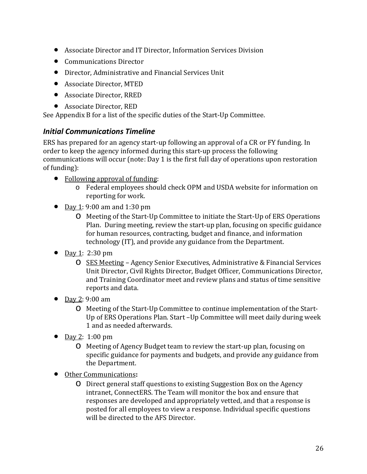- Associate Director and IT Director, Information Services Division
- Communications Director
- Director, Administrative and Financial Services Unit
- Associate Director, MTED
- Associate Director, RRED
- Associate Director, RED

<span id="page-25-0"></span>See Appendix B for a list of the specific duties of the Start-Up Committee.

#### *Initial Communications Timeline*

ERS has prepared for an agency start-up following an approval of a CR or FY funding. In order to keep the agency informed during this start-up process the following communications will occur (note: Day 1 is the first full day of operations upon restoration of funding):

- Following approval of funding:
	- o Federal employees should check OPM and USDA website for information on reporting for work.
- Day 1: 9:00 am and 1:30 pm
	- o Meeting of the Start-Up Committee to initiate the Start-Up of ERS Operations Plan. During meeting, review the start-up plan, focusing on specific guidance for human resources, contracting, budget and finance, and information technology (IT), and provide any guidance from the Department.
- Day 1: 2:30 pm
	- o SES Meeting Agency Senior Executives, Administrative & Financial Services Unit Director, Civil Rights Director, Budget Officer, Communications Director, and Training Coordinator meet and review plans and status of time sensitive reports and data.
- Day 2: 9:00 am
	- o Meeting of the Start-Up Committee to continue implementation of the Start-Up of ERS Operations Plan. Start –Up Committee will meet daily during week 1 and as needed afterwards.
- Day 2: 1:00 pm
	- o Meeting of Agency Budget team to review the start-up plan, focusing on specific guidance for payments and budgets, and provide any guidance from the Department.
- Other Communications**:**
	- o Direct general staff questions to existing Suggestion Box on the Agency intranet, ConnectERS. The Team will monitor the box and ensure that responses are developed and appropriately vetted, and that a response is posted for all employees to view a response. Individual specific questions will be directed to the AFS Director.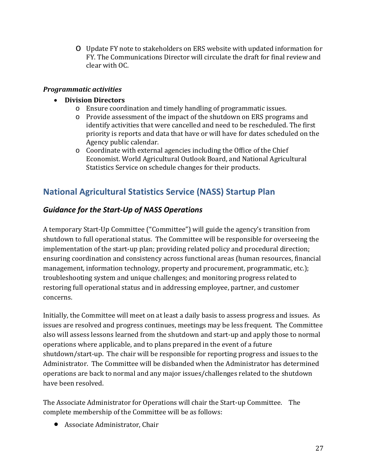o Update FY note to stakeholders on ERS website with updated information for FY. The Communications Director will circulate the draft for final review and clear with OC.

#### <span id="page-26-0"></span>*Programmatic activities*

#### • **Division Directors**

- o Ensure coordination and timely handling of programmatic issues.
- o Provide assessment of the impact of the shutdown on ERS programs and identify activities that were cancelled and need to be rescheduled. The first priority is reports and data that have or will have for dates scheduled on the Agency public calendar.
- o Coordinate with external agencies including the Office of the Chief Economist. World Agricultural Outlook Board, and National Agricultural Statistics Service on schedule changes for their products.

## <span id="page-26-1"></span>**National Agricultural Statistics Service (NASS) Startup Plan**

#### <span id="page-26-2"></span>*Guidance for the Start-Up of NASS Operations*

A temporary Start-Up Committee ("Committee") will guide the agency's transition from shutdown to full operational status. The Committee will be responsible for overseeing the implementation of the start-up plan; providing related policy and procedural direction; ensuring coordination and consistency across functional areas (human resources, financial management, information technology, property and procurement, programmatic, etc.); troubleshooting system and unique challenges; and monitoring progress related to restoring full operational status and in addressing employee, partner, and customer concerns.

Initially, the Committee will meet on at least a daily basis to assess progress and issues. As issues are resolved and progress continues, meetings may be less frequent. The Committee also will assess lessons learned from the shutdown and start-up and apply those to normal operations where applicable, and to plans prepared in the event of a future shutdown/start-up. The chair will be responsible for reporting progress and issues to the Administrator. The Committee will be disbanded when the Administrator has determined operations are back to normal and any major issues/challenges related to the shutdown have been resolved.

The Associate Administrator for Operations will chair the Start-up Committee. The complete membership of the Committee will be as follows:

• Associate Administrator, Chair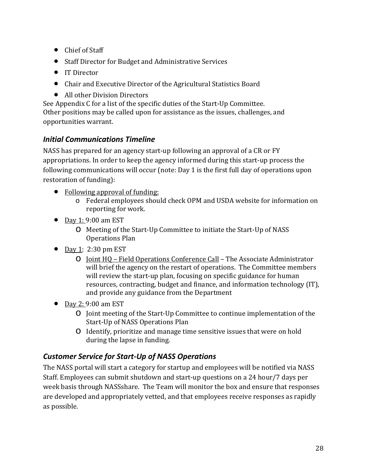- Chief of Staff
- Staff Director for Budget and Administrative Services
- IT Director
- Chair and Executive Director of the Agricultural Statistics Board
- All other Division Directors

See Appendix C for a list of the specific duties of the Start-Up Committee. Other positions may be called upon for assistance as the issues, challenges, and opportunities warrant.

## <span id="page-27-0"></span>*Initial Communications Timeline*

NASS has prepared for an agency start-up following an approval of a CR or FY appropriations. In order to keep the agency informed during this start-up process the following communications will occur (note: Day 1 is the first full day of operations upon restoration of funding):

- Following approval of funding:
	- o Federal employees should check OPM and USDA website for information on reporting for work.
- Day 1: 9:00 am EST
	- o Meeting of the Start-Up Committee to initiate the Start-Up of NASS Operations Plan
- Day 1: 2:30 pm EST
	- o Joint HQ Field Operations Conference Call The Associate Administrator will brief the agency on the restart of operations. The Committee members will review the start-up plan, focusing on specific guidance for human resources, contracting, budget and finance, and information technology (IT), and provide any guidance from the Department
- Day 2: 9:00 am EST
	- o Joint meeting of the Start-Up Committee to continue implementation of the Start-Up of NASS Operations Plan
	- o Identify, prioritize and manage time sensitive issues that were on hold during the lapse in funding.

## <span id="page-27-1"></span>*Customer Service for Start-Up of NASS Operations*

The NASS portal will start a category for startup and employees will be notified via NASS Staff. Employees can submit shutdown and start-up questions on a 24 hour/7 days per week basis through NASSshare. The Team will monitor the box and ensure that responses are developed and appropriately vetted, and that employees receive responses as rapidly as possible.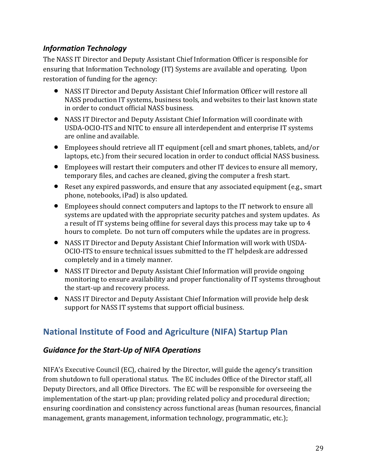## <span id="page-28-0"></span>*Information Technology*

The NASS IT Director and Deputy Assistant Chief Information Officer is responsible for ensuring that Information Technology (IT) Systems are available and operating. Upon restoration of funding for the agency:

- NASS IT Director and Deputy Assistant Chief Information Officer will restore all NASS production IT systems, business tools, and websites to their last known state in order to conduct official NASS business.
- NASS IT Director and Deputy Assistant Chief Information will coordinate with USDA-OCIO-ITS and NITC to ensure all interdependent and enterprise IT systems are online and available.
- Employees should retrieve all IT equipment (cell and smart phones, tablets, and/or laptops, etc.) from their secured location in order to conduct official NASS business.
- Employees will restart their computers and other IT devices to ensure all memory, temporary files, and caches are cleaned, giving the computer a fresh start.
- Reset any expired passwords, and ensure that any associated equipment (e.g., smart phone, notebooks, iPad) is also updated.
- Employees should connect computers and laptops to the IT network to ensure all systems are updated with the appropriate security patches and system updates. As a result of IT systems being offline for several days this process may take up to 4 hours to complete. Do not turn off computers while the updates are in progress.
- NASS IT Director and Deputy Assistant Chief Information will work with USDA-OCIO-ITS to ensure technical issues submitted to the IT helpdesk are addressed completely and in a timely manner.
- NASS IT Director and Deputy Assistant Chief Information will provide ongoing monitoring to ensure availability and proper functionality of IT systems throughout the start-up and recovery process.
- NASS IT Director and Deputy Assistant Chief Information will provide help desk support for NASS IT systems that support official business.

## <span id="page-28-1"></span>**National Institute of Food and Agriculture (NIFA) Startup Plan**

## <span id="page-28-2"></span>*Guidance for the Start-Up of NIFA Operations*

NIFA's Executive Council (EC), chaired by the Director, will guide the agency's transition from shutdown to full operational status. The EC includes Office of the Director staff, all Deputy Directors, and all Office Directors. The EC will be responsible for overseeing the implementation of the start-up plan; providing related policy and procedural direction; ensuring coordination and consistency across functional areas (human resources, financial management, grants management, information technology, programmatic, etc.);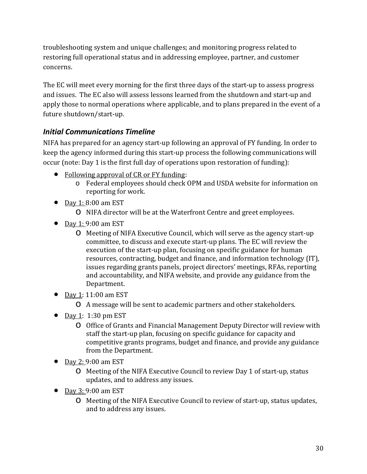troubleshooting system and unique challenges; and monitoring progress related to restoring full operational status and in addressing employee, partner, and customer concerns.

The EC will meet every morning for the first three days of the start-up to assess progress and issues. The EC also will assess lessons learned from the shutdown and start-up and apply those to normal operations where applicable, and to plans prepared in the event of a future shutdown/start-up.

## <span id="page-29-0"></span>*Initial Communications Timeline*

NIFA has prepared for an agency start-up following an approval of FY funding. In order to keep the agency informed during this start-up process the following communications will occur (note: Day 1 is the first full day of operations upon restoration of funding):

- Following approval of CR or FY funding:
	- o Federal employees should check OPM and USDA website for information on reporting for work.
- Day 1: 8:00 am EST
	- o NIFA director will be at the Waterfront Centre and greet employees.
- Day  $1:9:00$  am EST
	- o Meeting of NIFA Executive Council, which will serve as the agency start-up committee, to discuss and execute start-up plans. The EC will review the execution of the start-up plan, focusing on specific guidance for human resources, contracting, budget and finance, and information technology (IT), issues regarding grants panels, project directors' meetings, RFAs, reporting and accountability, and NIFA website, and provide any guidance from the Department.
- Day 1: 11:00 am EST
	- o A message will be sent to academic partners and other stakeholders.
- Day 1: 1:30 pm EST
	- o Office of Grants and Financial Management Deputy Director will review with staff the start-up plan, focusing on specific guidance for capacity and competitive grants programs, budget and finance, and provide any guidance from the Department.
- Day 2: 9:00 am EST
	- o Meeting of the NIFA Executive Council to review Day 1 of start-up, status updates, and to address any issues.
- Day 3: 9:00 am EST
	- o Meeting of the NIFA Executive Council to review of start-up, status updates, and to address any issues.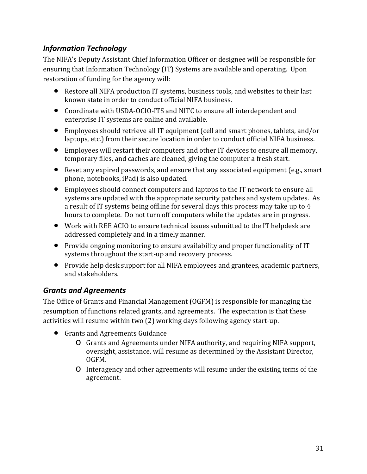## <span id="page-30-0"></span>*Information Technology*

The NIFA's Deputy Assistant Chief Information Officer or designee will be responsible for ensuring that Information Technology (IT) Systems are available and operating. Upon restoration of funding for the agency will:

- Restore all NIFA production IT systems, business tools, and websites to their last known state in order to conduct official NIFA business.
- Coordinate with USDA-OCIO-ITS and NITC to ensure all interdependent and enterprise IT systems are online and available.
- Employees should retrieve all IT equipment (cell and smart phones, tablets, and/or laptops, etc.) from their secure location in order to conduct official NIFA business.
- Employees will restart their computers and other IT devices to ensure all memory, temporary files, and caches are cleaned, giving the computer a fresh start.
- Reset any expired passwords, and ensure that any associated equipment (e.g., smart phone, notebooks, iPad) is also updated.
- Employees should connect computers and laptops to the IT network to ensure all systems are updated with the appropriate security patches and system updates. As a result of IT systems being offline for several days this process may take up to 4 hours to complete. Do not turn off computers while the updates are in progress.
- Work with REE ACIO to ensure technical issues submitted to the IT helpdesk are addressed completely and in a timely manner.
- Provide ongoing monitoring to ensure availability and proper functionality of IT systems throughout the start-up and recovery process.
- Provide help desk support for all NIFA employees and grantees, academic partners, and stakeholders.

## <span id="page-30-1"></span>*Grants and Agreements*

The Office of Grants and Financial Management (OGFM) is responsible for managing the resumption of functions related grants, and agreements. The expectation is that these activities will resume within two (2) working days following agency start-up.

- Grants and Agreements Guidance
	- o Grants and Agreements under NIFA authority, and requiring NIFA support, oversight, assistance, will resume as determined by the Assistant Director, OGFM.
	- o Interagency and other agreements will resume under the existing terms of the agreement.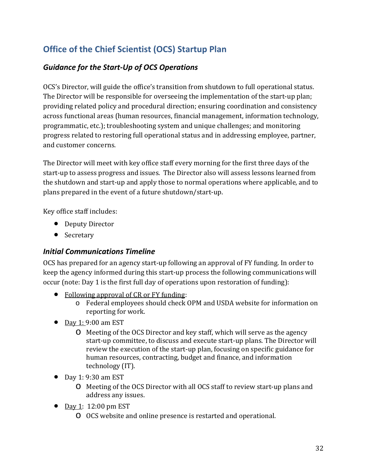## <span id="page-31-0"></span>**Office of the Chief Scientist (OCS) Startup Plan**

## <span id="page-31-1"></span>*Guidance for the Start-Up of OCS Operations*

OCS's Director, will guide the office's transition from shutdown to full operational status. The Director will be responsible for overseeing the implementation of the start-up plan; providing related policy and procedural direction; ensuring coordination and consistency across functional areas (human resources, financial management, information technology, programmatic, etc.); troubleshooting system and unique challenges; and monitoring progress related to restoring full operational status and in addressing employee, partner, and customer concerns.

The Director will meet with key office staff every morning for the first three days of the start-up to assess progress and issues. The Director also will assess lessons learned from the shutdown and start-up and apply those to normal operations where applicable, and to plans prepared in the event of a future shutdown/start-up.

Key office staff includes:

- Deputy Director
- Secretary

## <span id="page-31-2"></span>*Initial Communications Timeline*

OCS has prepared for an agency start-up following an approval of FY funding. In order to keep the agency informed during this start-up process the following communications will occur (note: Day 1 is the first full day of operations upon restoration of funding):

- Following approval of CR or FY funding:
	- o Federal employees should check OPM and USDA website for information on reporting for work.
- Day 1: 9:00 am EST
	- o Meeting of the OCS Director and key staff, which will serve as the agency start-up committee, to discuss and execute start-up plans. The Director will review the execution of the start-up plan, focusing on specific guidance for human resources, contracting, budget and finance, and information technology (IT).
- Day 1: 9:30 am EST
	- o Meeting of the OCS Director with all OCS staff to review start-up plans and address any issues.
- Day 1: 12:00 pm EST
	- o OCS website and online presence is restarted and operational.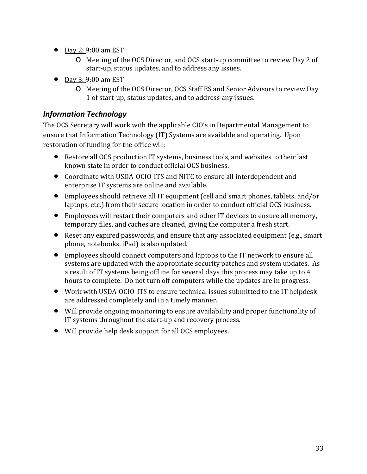- Day 2: 9:00 am EST
	- o Meeting of the OCS Director, and OCS start-up committee to review Day 2 of start-up, status updates, and to address any issues.
- Day 3: 9:00 am EST
	- o Meeting of the OCS Director, OCS Staff ES and Senior Advisors to review Day 1 of start-up, status updates, and to address any issues.

## <span id="page-32-0"></span>*Information Technology*

The OCS Secretary will work with the applicable CIO's in Departmental Management to ensure that Information Technology (IT) Systems are available and operating. Upon restoration of funding for the office will:

- Restore all OCS production IT systems, business tools, and websites to their last known state in order to conduct official OCS business.
- Coordinate with USDA-OCIO-ITS and NITC to ensure all interdependent and enterprise IT systems are online and available.
- Employees should retrieve all IT equipment (cell and smart phones, tablets, and/or laptops, etc.) from their secure location in order to conduct official OCS business.
- Employees will restart their computers and other IT devices to ensure all memory, temporary files, and caches are cleaned, giving the computer a fresh start.
- Reset any expired passwords, and ensure that any associated equipment (e.g., smart phone, notebooks, iPad) is also updated.
- Employees should connect computers and laptops to the IT network to ensure all systems are updated with the appropriate security patches and system updates. As a result of IT systems being offline for several days this process may take up to 4 hours to complete. Do not turn off computers while the updates are in progress.
- Work with USDA-OCIO-ITS to ensure technical issues submitted to the IT helpdesk are addressed completely and in a timely manner.
- Will provide ongoing monitoring to ensure availability and proper functionality of IT systems throughout the start-up and recovery process.
- Will provide help desk support for all OCS employees.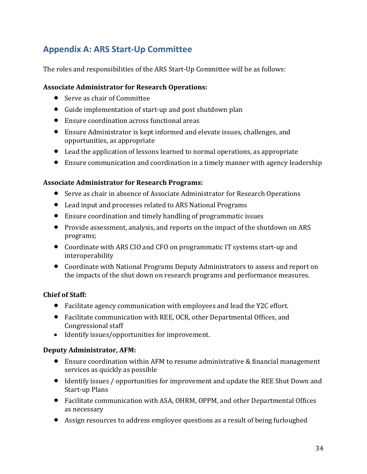## <span id="page-33-0"></span>**Appendix A: ARS Start-Up Committee**

The roles and responsibilities of the ARS Start-Up Committee will be as follows:

#### **Associate Administrator for Research Operations:**

- Serve as chair of Committee
- Guide implementation of start-up and post shutdown plan
- Ensure coordination across functional areas
- Ensure Administrator is kept informed and elevate issues, challenges, and opportunities, as appropriate
- Lead the application of lessons learned to normal operations, as appropriate
- Ensure communication and coordination in a timely manner with agency leadership

#### **Associate Administrator for Research Programs:**

- Serve as chair in absence of Associate Administrator for Research Operations
- Lead input and processes related to ARS National Programs
- Ensure coordination and timely handling of programmatic issues
- Provide assessment, analysis, and reports on the impact of the shutdown on ARS programs;
- Coordinate with ARS CIO and CFO on programmatic IT systems start-up and interoperability
- Coordinate with National Programs Deputy Administrators to assess and report on the impacts of the shut down on research programs and performance measures.

#### **Chief of Staff:**

- Facilitate agency communication with employees and lead the Y2C effort.
- Facilitate communication with REE, OCR, other Departmental Offices, and Congressional staff
- Identify issues/opportunities for improvement.

#### **Deputy Administrator, AFM:**

- Ensure coordination within AFM to resume administrative & financial management services as quickly as possible
- Identify issues / opportunities for improvement and update the REE Shut Down and Start-up Plans
- Facilitate communication with ASA, OHRM, OPPM, and other Departmental Offices as necessary
- Assign resources to address employee questions as a result of being furloughed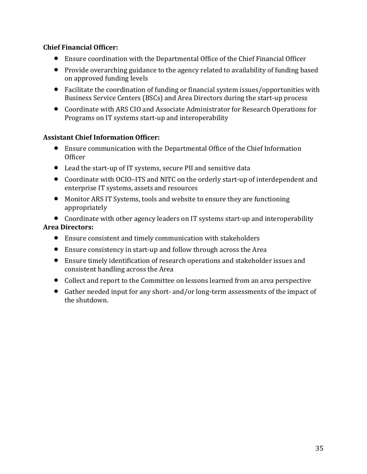#### **Chief Financial Officer:**

- Ensure coordination with the Departmental Office of the Chief Financial Officer
- Provide overarching guidance to the agency related to availability of funding based on approved funding levels
- Facilitate the coordination of funding or financial system issues/opportunities with Business Service Centers (BSCs) and Area Directors during the start-up process
- Coordinate with ARS CIO and Associate Administrator for Research Operations for Programs on IT systems start-up and interoperability

#### **Assistant Chief Information Officer:**

- Ensure communication with the Departmental Office of the Chief Information **Officer**
- Lead the start-up of IT systems, secure PII and sensitive data
- Coordinate with OCIO–ITS and NITC on the orderly start-up of interdependent and enterprise IT systems, assets and resources
- Monitor ARS IT Systems, tools and website to ensure they are functioning appropriately

• Coordinate with other agency leaders on IT systems start-up and interoperability **Area Directors:**

- Ensure consistent and timely communication with stakeholders
- Ensure consistency in start-up and follow through across the Area
- Ensure timely identification of research operations and stakeholder issues and consistent handling across the Area
- Collect and report to the Committee on lessons learned from an area perspective
- Gather needed input for any short- and/or long-term assessments of the impact of the shutdown.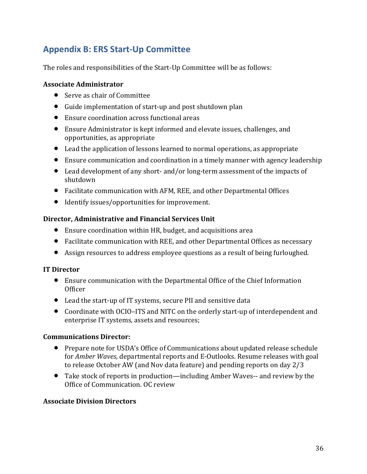## <span id="page-35-0"></span>**Appendix B: ERS Start-Up Committee**

The roles and responsibilities of the Start-Up Committee will be as follows:

#### **Associate Administrator**

- Serve as chair of Committee
- Guide implementation of start-up and post shutdown plan
- Ensure coordination across functional areas
- Ensure Administrator is kept informed and elevate issues, challenges, and opportunities, as appropriate
- Lead the application of lessons learned to normal operations, as appropriate
- Ensure communication and coordination in a timely manner with agency leadership
- Lead development of any short- and/or long-term assessment of the impacts of shutdown
- Facilitate communication with AFM, REE, and other Departmental Offices
- Identify issues/opportunities for improvement.

#### **Director, Administrative and Financial Services Unit**

- Ensure coordination within HR, budget, and acquisitions area
- Facilitate communication with REE, and other Departmental Offices as necessary
- Assign resources to address employee questions as a result of being furloughed.

#### **IT Director**

- Ensure communication with the Departmental Office of the Chief Information Officer
- Lead the start-up of IT systems, secure PII and sensitive data
- Coordinate with OCIO–ITS and NITC on the orderly start-up of interdependent and enterprise IT systems, assets and resources;

#### **Communications Director:**

- Prepare note for USDA's Office of Communications about updated release schedule for *Amber Waves*, departmental reports and E-Outlooks. Resume releases with goal to release October AW (and Nov data feature) and pending reports on day 2/3
- Take stock of reports in production—including Amber Waves-- and review by the Office of Communication. OC review

#### **Associate Division Directors**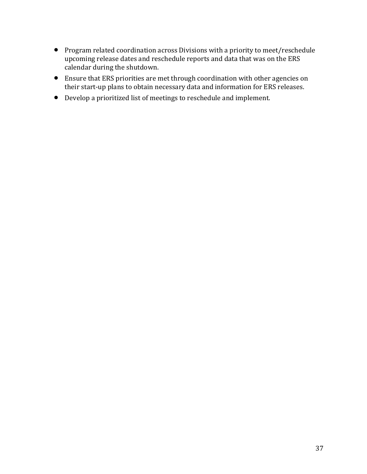- Program related coordination across Divisions with a priority to meet/reschedule upcoming release dates and reschedule reports and data that was on the ERS calendar during the shutdown.
- Ensure that ERS priorities are met through coordination with other agencies on their start-up plans to obtain necessary data and information for ERS releases.
- Develop a prioritized list of meetings to reschedule and implement.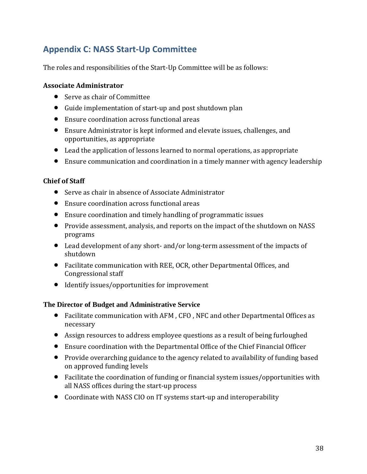## <span id="page-37-0"></span>**Appendix C: NASS Start-Up Committee**

The roles and responsibilities of the Start-Up Committee will be as follows:

#### **Associate Administrator**

- Serve as chair of Committee
- Guide implementation of start-up and post shutdown plan
- Ensure coordination across functional areas
- Ensure Administrator is kept informed and elevate issues, challenges, and opportunities, as appropriate
- Lead the application of lessons learned to normal operations, as appropriate
- Ensure communication and coordination in a timely manner with agency leadership

#### **Chief of Staff**

- Serve as chair in absence of Associate Administrator
- Ensure coordination across functional areas
- Ensure coordination and timely handling of programmatic issues
- Provide assessment, analysis, and reports on the impact of the shutdown on NASS programs
- Lead development of any short- and/or long-term assessment of the impacts of shutdown
- Facilitate communication with REE, OCR, other Departmental Offices, and Congressional staff
- Identify issues/opportunities for improvement

#### **The Director of Budget and Administrative Service**

- Facilitate communication with AFM , CFO , NFC and other Departmental Offices as necessary
- Assign resources to address employee questions as a result of being furloughed
- Ensure coordination with the Departmental Office of the Chief Financial Officer
- Provide overarching guidance to the agency related to availability of funding based on approved funding levels
- Facilitate the coordination of funding or financial system issues/opportunities with all NASS offices during the start-up process
- Coordinate with NASS CIO on IT systems start-up and interoperability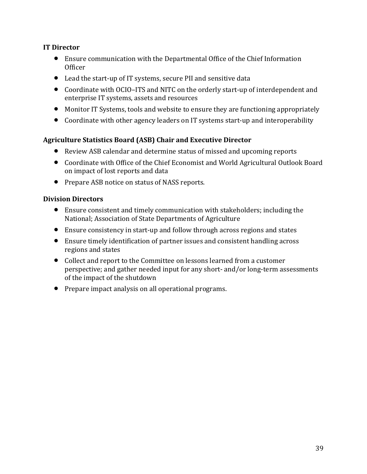#### **IT Director**

- Ensure communication with the Departmental Office of the Chief Information Officer
- Lead the start-up of IT systems, secure PII and sensitive data
- Coordinate with OCIO–ITS and NITC on the orderly start-up of interdependent and enterprise IT systems, assets and resources
- Monitor IT Systems, tools and website to ensure they are functioning appropriately
- Coordinate with other agency leaders on IT systems start-up and interoperability

#### **Agriculture Statistics Board (ASB) Chair and Executive Director**

- Review ASB calendar and determine status of missed and upcoming reports
- Coordinate with Office of the Chief Economist and World Agricultural Outlook Board on impact of lost reports and data
- Prepare ASB notice on status of NASS reports.

#### **Division Directors**

- Ensure consistent and timely communication with stakeholders; including the National; Association of State Departments of Agriculture
- Ensure consistency in start-up and follow through across regions and states
- Ensure timely identification of partner issues and consistent handling across regions and states
- Collect and report to the Committee on lessons learned from a customer perspective; and gather needed input for any short- and/or long-term assessments of the impact of the shutdown
- Prepare impact analysis on all operational programs.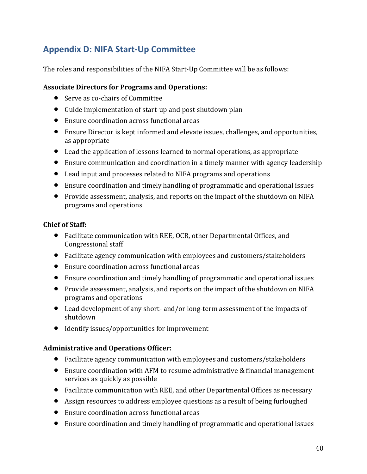## <span id="page-39-0"></span>**Appendix D: NIFA Start-Up Committee**

The roles and responsibilities of the NIFA Start-Up Committee will be as follows:

#### **Associate Directors for Programs and Operations:**

- Serve as co-chairs of Committee
- Guide implementation of start-up and post shutdown plan
- Ensure coordination across functional areas
- Ensure Director is kept informed and elevate issues, challenges, and opportunities, as appropriate
- Lead the application of lessons learned to normal operations, as appropriate
- Ensure communication and coordination in a timely manner with agency leadership
- Lead input and processes related to NIFA programs and operations
- Ensure coordination and timely handling of programmatic and operational issues
- Provide assessment, analysis, and reports on the impact of the shutdown on NIFA programs and operations

#### **Chief of Staff:**

- Facilitate communication with REE, OCR, other Departmental Offices, and Congressional staff
- Facilitate agency communication with employees and customers/stakeholders
- Ensure coordination across functional areas
- Ensure coordination and timely handling of programmatic and operational issues
- Provide assessment, analysis, and reports on the impact of the shutdown on NIFA programs and operations
- Lead development of any short- and/or long-term assessment of the impacts of shutdown
- Identify issues/opportunities for improvement

#### **Administrative and Operations Officer:**

- Facilitate agency communication with employees and customers/stakeholders
- Ensure coordination with AFM to resume administrative & financial management services as quickly as possible
- Facilitate communication with REE, and other Departmental Offices as necessary
- Assign resources to address employee questions as a result of being furloughed
- Ensure coordination across functional areas
- Ensure coordination and timely handling of programmatic and operational issues